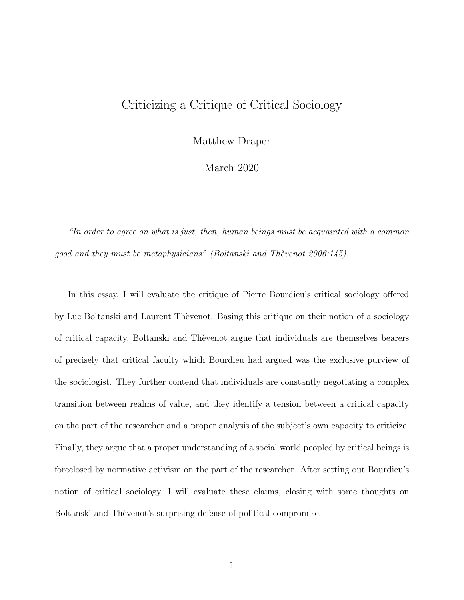## Criticizing a Critique of Critical Sociology

Matthew Draper

March 2020

"In order to agree on what is just, then, human beings must be acquainted with a common good and they must be metaphysicians" (Boltanski and Thèvenot 2006:145).

In this essay, I will evaluate the critique of Pierre Bourdieu's critical sociology offered by Luc Boltanski and Laurent Thèvenot. Basing this critique on their notion of a sociology of critical capacity, Boltanski and Thèvenot argue that individuals are themselves bearers of precisely that critical faculty which Bourdieu had argued was the exclusive purview of the sociologist. They further contend that individuals are constantly negotiating a complex transition between realms of value, and they identify a tension between a critical capacity on the part of the researcher and a proper analysis of the subject's own capacity to criticize. Finally, they argue that a proper understanding of a social world peopled by critical beings is foreclosed by normative activism on the part of the researcher. After setting out Bourdieu's notion of critical sociology, I will evaluate these claims, closing with some thoughts on Boltanski and Thèvenot's surprising defense of political compromise.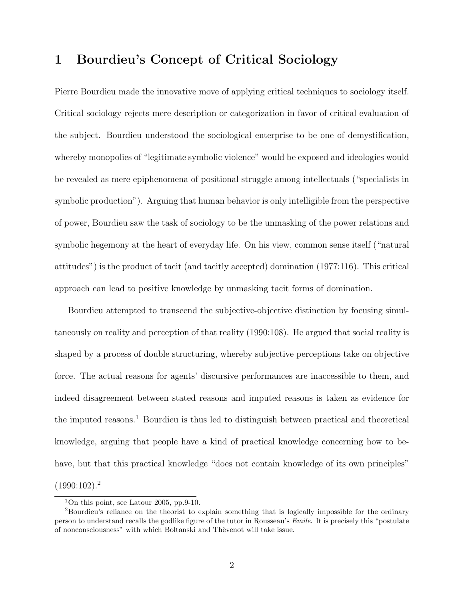### 1 Bourdieu's Concept of Critical Sociology

Pierre Bourdieu made the innovative move of applying critical techniques to sociology itself. Critical sociology rejects mere description or categorization in favor of critical evaluation of the subject. Bourdieu understood the sociological enterprise to be one of demystification, whereby monopolies of "legitimate symbolic violence" would be exposed and ideologies would be revealed as mere epiphenomena of positional struggle among intellectuals ("specialists in symbolic production"). Arguing that human behavior is only intelligible from the perspective of power, Bourdieu saw the task of sociology to be the unmasking of the power relations and symbolic hegemony at the heart of everyday life. On his view, common sense itself ("natural attitudes") is the product of tacit (and tacitly accepted) domination (1977:116). This critical approach can lead to positive knowledge by unmasking tacit forms of domination.

Bourdieu attempted to transcend the subjective-objective distinction by focusing simultaneously on reality and perception of that reality (1990:108). He argued that social reality is shaped by a process of double structuring, whereby subjective perceptions take on objective force. The actual reasons for agents' discursive performances are inaccessible to them, and indeed disagreement between stated reasons and imputed reasons is taken as evidence for the imputed reasons.<sup>1</sup> Bourdieu is thus led to distinguish between practical and theoretical knowledge, arguing that people have a kind of practical knowledge concerning how to behave, but that this practical knowledge "does not contain knowledge of its own principles"  $(1990:102).<sup>2</sup>$ 

<sup>&</sup>lt;sup>1</sup>On this point, see Latour 2005, pp.9-10.

<sup>2</sup>Bourdieu's reliance on the theorist to explain something that is logically impossible for the ordinary person to understand recalls the godlike figure of the tutor in Rousseau's Emile. It is precisely this "postulate of nonconsciousness" with which Boltanski and Thèvenot will take issue.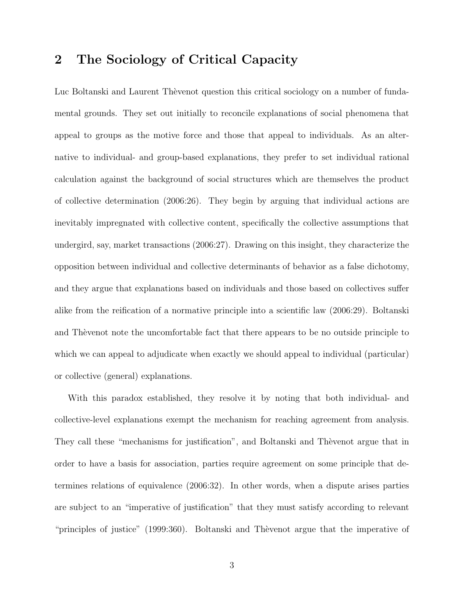# 2 The Sociology of Critical Capacity

Luc Boltanski and Laurent Thèvenot question this critical sociology on a number of fundamental grounds. They set out initially to reconcile explanations of social phenomena that appeal to groups as the motive force and those that appeal to individuals. As an alternative to individual- and group-based explanations, they prefer to set individual rational calculation against the background of social structures which are themselves the product of collective determination (2006:26). They begin by arguing that individual actions are inevitably impregnated with collective content, specifically the collective assumptions that undergird, say, market transactions (2006:27). Drawing on this insight, they characterize the opposition between individual and collective determinants of behavior as a false dichotomy, and they argue that explanations based on individuals and those based on collectives suffer alike from the reification of a normative principle into a scientific law (2006:29). Boltanski and Theorem to the uncomfortable fact that there appears to be no outside principle to which we can appeal to adjudicate when exactly we should appeal to individual (particular) or collective (general) explanations.

With this paradox established, they resolve it by noting that both individual- and collective-level explanations exempt the mechanism for reaching agreement from analysis. They call these "mechanisms for justification", and Boltanski and Theorem argue that in order to have a basis for association, parties require agreement on some principle that determines relations of equivalence (2006:32). In other words, when a dispute arises parties are subject to an "imperative of justification" that they must satisfy according to relevant "principles of justice" (1999:360). Boltanski and Thèvenot argue that the imperative of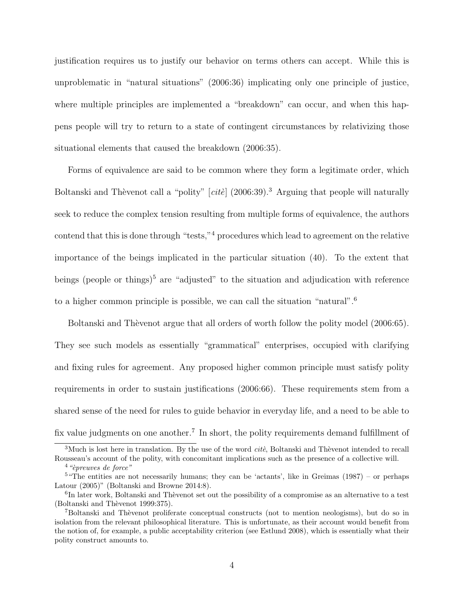justification requires us to justify our behavior on terms others can accept. While this is unproblematic in "natural situations" (2006:36) implicating only one principle of justice, where multiple principles are implemented a "breakdown" can occur, and when this happens people will try to return to a state of contingent circumstances by relativizing those situational elements that caused the breakdown (2006:35).

Forms of equivalence are said to be common where they form a legitimate order, which Boltanski and Thèvenot call a "polity"  $[cit\acute{e}]$  (2006:39).<sup>3</sup> Arguing that people will naturally seek to reduce the complex tension resulting from multiple forms of equivalence, the authors contend that this is done through "tests,"<sup>4</sup> procedures which lead to agreement on the relative importance of the beings implicated in the particular situation (40). To the extent that beings (people or things)<sup>5</sup> are "adjusted" to the situation and adjudication with reference to a higher common principle is possible, we can call the situation "natural".<sup>6</sup>

Boltanski and Thèvenot argue that all orders of worth follow the polity model (2006:65). They see such models as essentially "grammatical" enterprises, occupied with clarifying and fixing rules for agreement. Any proposed higher common principle must satisfy polity requirements in order to sustain justifications (2006:66). These requirements stem from a shared sense of the need for rules to guide behavior in everyday life, and a need to be able to fix value judgments on one another.<sup>7</sup> In short, the polity requirements demand fulfillment of

<sup>&</sup>lt;sup>3</sup>Much is lost here in translation. By the use of the word *cite*, Boltanski and Thevenot intended to recall Rousseau's account of the polity, with concomitant implications such as the presence of a collective will.

 $4$  "epreuves de force"

 $5$  "The entities are not necessarily humans; they can be 'actants', like in Greimas (1987) – or perhaps Latour (2005)" (Boltanski and Browne 2014:8).

<sup>&</sup>lt;sup>6</sup>In later work, Boltanski and Thèvenot set out the possibility of a compromise as an alternative to a test (Boltanski and Thèvenot 1999:375).

<sup>&</sup>lt;sup>7</sup>Boltanski and Thèvenot proliferate conceptual constructs (not to mention neologisms), but do so in isolation from the relevant philosophical literature. This is unfortunate, as their account would benefit from the notion of, for example, a public acceptability criterion (see Estlund 2008), which is essentially what their polity construct amounts to.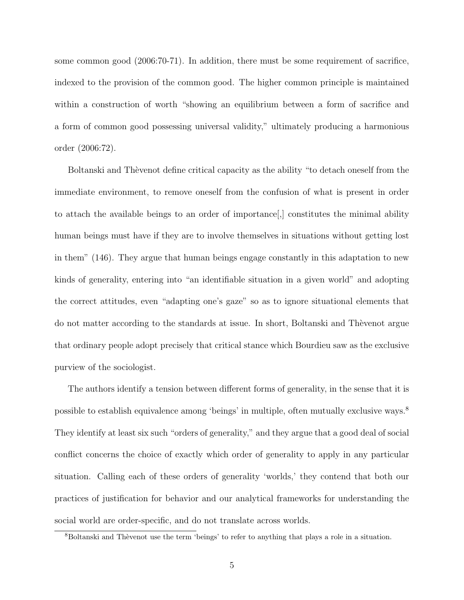some common good (2006:70-71). In addition, there must be some requirement of sacrifice, indexed to the provision of the common good. The higher common principle is maintained within a construction of worth "showing an equilibrium between a form of sacrifice and a form of common good possessing universal validity," ultimately producing a harmonious order (2006:72).

Boltanski and Thèvenot define critical capacity as the ability "to detach oneself from the immediate environment, to remove oneself from the confusion of what is present in order to attach the available beings to an order of importance[,] constitutes the minimal ability human beings must have if they are to involve themselves in situations without getting lost in them" (146). They argue that human beings engage constantly in this adaptation to new kinds of generality, entering into "an identifiable situation in a given world" and adopting the correct attitudes, even "adapting one's gaze" so as to ignore situational elements that do not matter according to the standards at issue. In short, Boltanski and Thevenot argue that ordinary people adopt precisely that critical stance which Bourdieu saw as the exclusive purview of the sociologist.

The authors identify a tension between different forms of generality, in the sense that it is possible to establish equivalence among 'beings' in multiple, often mutually exclusive ways.<sup>8</sup> They identify at least six such "orders of generality," and they argue that a good deal of social conflict concerns the choice of exactly which order of generality to apply in any particular situation. Calling each of these orders of generality 'worlds,' they contend that both our practices of justification for behavior and our analytical frameworks for understanding the social world are order-specific, and do not translate across worlds.

<sup>&</sup>lt;sup>8</sup>Boltanski and Thèvenot use the term 'beings' to refer to anything that plays a role in a situation.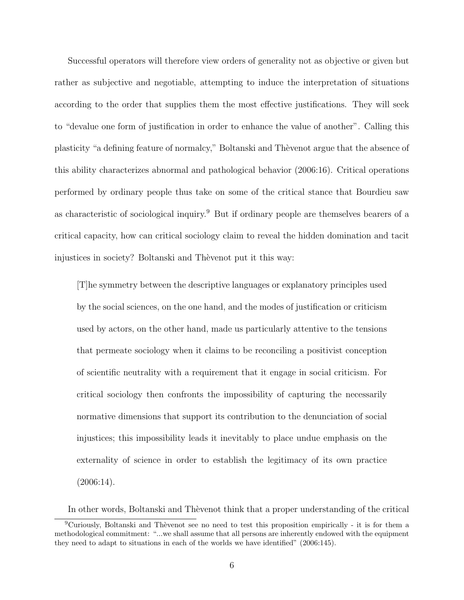Successful operators will therefore view orders of generality not as objective or given but rather as subjective and negotiable, attempting to induce the interpretation of situations according to the order that supplies them the most effective justifications. They will seek to "devalue one form of justification in order to enhance the value of another". Calling this plasticity "a defining feature of normalcy," Boltanski and Thèvenot argue that the absence of this ability characterizes abnormal and pathological behavior (2006:16). Critical operations performed by ordinary people thus take on some of the critical stance that Bourdieu saw as characteristic of sociological inquiry.<sup>9</sup> But if ordinary people are themselves bearers of a critical capacity, how can critical sociology claim to reveal the hidden domination and tacit injustices in society? Boltanski and Thèvenot put it this way:

[T]he symmetry between the descriptive languages or explanatory principles used by the social sciences, on the one hand, and the modes of justification or criticism used by actors, on the other hand, made us particularly attentive to the tensions that permeate sociology when it claims to be reconciling a positivist conception of scientific neutrality with a requirement that it engage in social criticism. For critical sociology then confronts the impossibility of capturing the necessarily normative dimensions that support its contribution to the denunciation of social injustices; this impossibility leads it inevitably to place undue emphasis on the externality of science in order to establish the legitimacy of its own practice  $(2006:14)$ .

In other words, Boltanski and Thèvenot think that a proper understanding of the critical

 ${}^{9}$ Curiously, Boltanski and Thèvenot see no need to test this proposition empirically - it is for them a methodological commitment: "...we shall assume that all persons are inherently endowed with the equipment they need to adapt to situations in each of the worlds we have identified" (2006:145).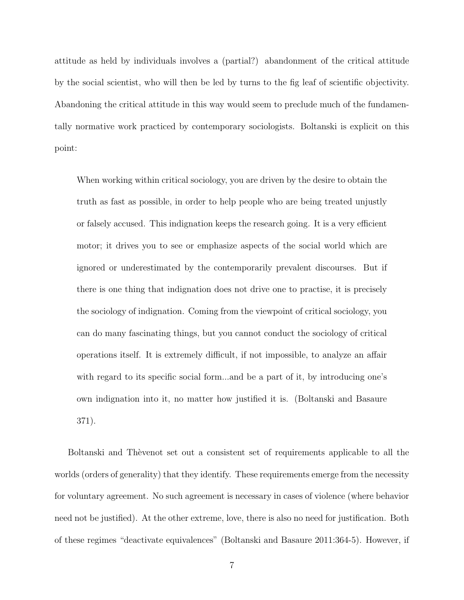attitude as held by individuals involves a (partial?) abandonment of the critical attitude by the social scientist, who will then be led by turns to the fig leaf of scientific objectivity. Abandoning the critical attitude in this way would seem to preclude much of the fundamentally normative work practiced by contemporary sociologists. Boltanski is explicit on this point:

When working within critical sociology, you are driven by the desire to obtain the truth as fast as possible, in order to help people who are being treated unjustly or falsely accused. This indignation keeps the research going. It is a very efficient motor; it drives you to see or emphasize aspects of the social world which are ignored or underestimated by the contemporarily prevalent discourses. But if there is one thing that indignation does not drive one to practise, it is precisely the sociology of indignation. Coming from the viewpoint of critical sociology, you can do many fascinating things, but you cannot conduct the sociology of critical operations itself. It is extremely difficult, if not impossible, to analyze an affair with regard to its specific social form...and be a part of it, by introducing one's own indignation into it, no matter how justified it is. (Boltanski and Basaure 371).

Boltanski and Thèvenot set out a consistent set of requirements applicable to all the worlds (orders of generality) that they identify. These requirements emerge from the necessity for voluntary agreement. No such agreement is necessary in cases of violence (where behavior need not be justified). At the other extreme, love, there is also no need for justification. Both of these regimes "deactivate equivalences" (Boltanski and Basaure 2011:364-5). However, if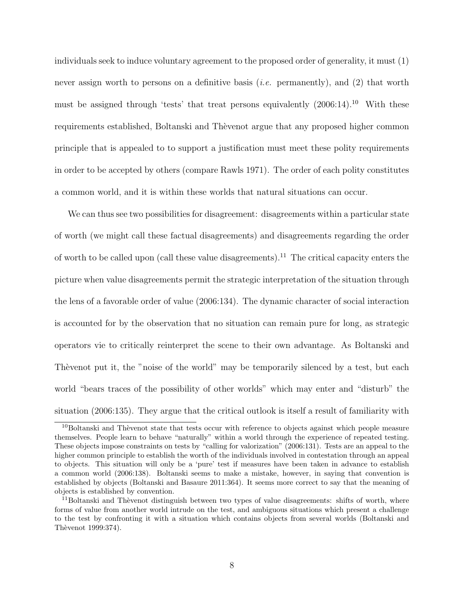individuals seek to induce voluntary agreement to the proposed order of generality, it must (1) never assign worth to persons on a definitive basis *(i.e.* permanently), and (2) that worth must be assigned through 'tests' that treat persons equivalently  $(2006:14).^{10}$  With these requirements established, Boltanski and Thèvenot argue that any proposed higher common principle that is appealed to to support a justification must meet these polity requirements in order to be accepted by others (compare Rawls 1971). The order of each polity constitutes a common world, and it is within these worlds that natural situations can occur.

We can thus see two possibilities for disagreement: disagreements within a particular state of worth (we might call these factual disagreements) and disagreements regarding the order of worth to be called upon (call these value disagreements).<sup>11</sup> The critical capacity enters the picture when value disagreements permit the strategic interpretation of the situation through the lens of a favorable order of value (2006:134). The dynamic character of social interaction is accounted for by the observation that no situation can remain pure for long, as strategic operators vie to critically reinterpret the scene to their own advantage. As Boltanski and Thèvenot put it, the "noise of the world" may be temporarily silenced by a test, but each world "bears traces of the possibility of other worlds" which may enter and "disturb" the situation (2006:135). They argue that the critical outlook is itself a result of familiarity with

 $10$ Boltanski and Thèvenot state that tests occur with reference to objects against which people measure themselves. People learn to behave "naturally" within a world through the experience of repeated testing. These objects impose constraints on tests by "calling for valorization" (2006:131). Tests are an appeal to the higher common principle to establish the worth of the individuals involved in contestation through an appeal to objects. This situation will only be a 'pure' test if measures have been taken in advance to establish a common world (2006:138). Boltanski seems to make a mistake, however, in saying that convention is established by objects (Boltanski and Basaure 2011:364). It seems more correct to say that the meaning of objects is established by convention.

 $11$ Boltanski and Thèvenot distinguish between two types of value disagreements: shifts of worth, where forms of value from another world intrude on the test, and ambiguous situations which present a challenge to the test by confronting it with a situation which contains objects from several worlds (Boltanski and Thèvenot 1999:374).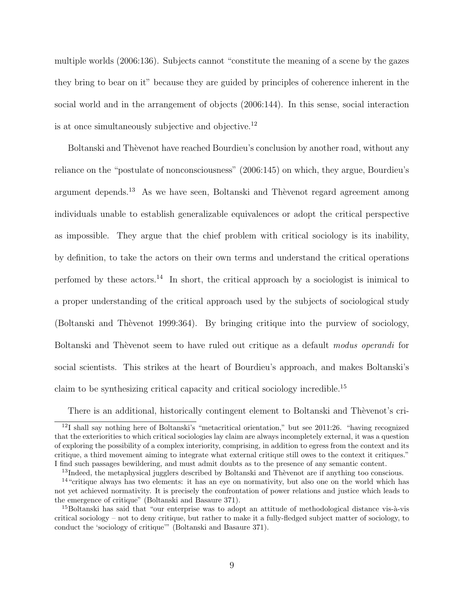multiple worlds (2006:136). Subjects cannot "constitute the meaning of a scene by the gazes they bring to bear on it" because they are guided by principles of coherence inherent in the social world and in the arrangement of objects (2006:144). In this sense, social interaction is at once simultaneously subjective and objective.<sup>12</sup>

Boltanski and Thèvenot have reached Bourdieu's conclusion by another road, without any reliance on the "postulate of nonconsciousness" (2006:145) on which, they argue, Bourdieu's argument depends.<sup>13</sup> As we have seen, Boltanski and Thèvenot regard agreement among individuals unable to establish generalizable equivalences or adopt the critical perspective as impossible. They argue that the chief problem with critical sociology is its inability, by definition, to take the actors on their own terms and understand the critical operations perfomed by these actors.<sup>14</sup> In short, the critical approach by a sociologist is inimical to a proper understanding of the critical approach used by the subjects of sociological study (Boltanski and Thèvenot 1999:364). By bringing critique into the purview of sociology, Boltanski and Thèvenot seem to have ruled out critique as a default modus operandi for social scientists. This strikes at the heart of Bourdieu's approach, and makes Boltanski's claim to be synthesizing critical capacity and critical sociology incredible.<sup>15</sup>

There is an additional, historically contingent element to Boltanski and Thèvenot's cri-

 $12I$  shall say nothing here of Boltanski's "metacritical orientation," but see 2011:26. "having recognized that the exteriorities to which critical sociologies lay claim are always incompletely external, it was a question of exploring the possibility of a complex interiority, comprising, in addition to egress from the context and its critique, a third movement aiming to integrate what external critique still owes to the context it critiques." I find such passages bewildering, and must admit doubts as to the presence of any semantic content.

<sup>&</sup>lt;sup>13</sup>Indeed, the metaphysical jugglers described by Boltanski and Thèvenot are if anything too conscious.

<sup>&</sup>lt;sup>14</sup> "critique always has two elements: it has an eye on normativity, but also one on the world which has not yet achieved normativity. It is precisely the confrontation of power relations and justice which leads to the emergence of critique" (Boltanski and Basaure 371).

 $^{15}$ Boltanski has said that "our enterprise was to adopt an attitude of methodological distance vis- $\hat{a}$ -vis critical sociology – not to deny critique, but rather to make it a fully-fledged subject matter of sociology, to conduct the 'sociology of critique'" (Boltanski and Basaure 371).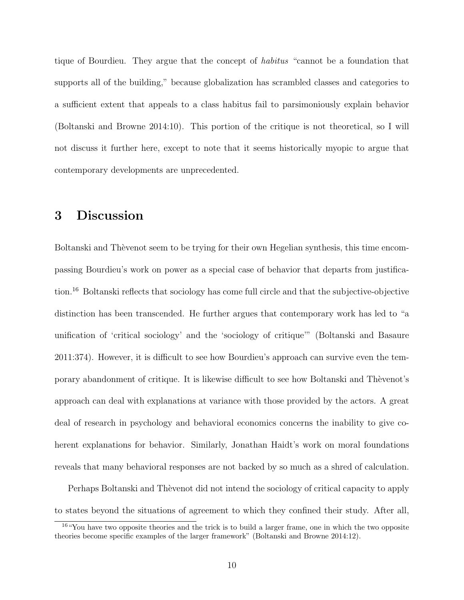tique of Bourdieu. They argue that the concept of habitus "cannot be a foundation that supports all of the building," because globalization has scrambled classes and categories to a sufficient extent that appeals to a class habitus fail to parsimoniously explain behavior (Boltanski and Browne 2014:10). This portion of the critique is not theoretical, so I will not discuss it further here, except to note that it seems historically myopic to argue that contemporary developments are unprecedented.

## 3 Discussion

Boltanski and Thèvenot seem to be trying for their own Hegelian synthesis, this time encompassing Bourdieu's work on power as a special case of behavior that departs from justification.<sup>16</sup> Boltanski reflects that sociology has come full circle and that the subjective-objective distinction has been transcended. He further argues that contemporary work has led to "a unification of 'critical sociology' and the 'sociology of critique'" (Boltanski and Basaure 2011:374). However, it is difficult to see how Bourdieu's approach can survive even the temporary abandonment of critique. It is likewise difficult to see how Boltanski and Thèvenot's approach can deal with explanations at variance with those provided by the actors. A great deal of research in psychology and behavioral economics concerns the inability to give coherent explanations for behavior. Similarly, Jonathan Haidt's work on moral foundations reveals that many behavioral responses are not backed by so much as a shred of calculation.

Perhaps Boltanski and Thèvenot did not intend the sociology of critical capacity to apply to states beyond the situations of agreement to which they confined their study. After all,

<sup>16</sup>"You have two opposite theories and the trick is to build a larger frame, one in which the two opposite theories become specific examples of the larger framework" (Boltanski and Browne 2014:12).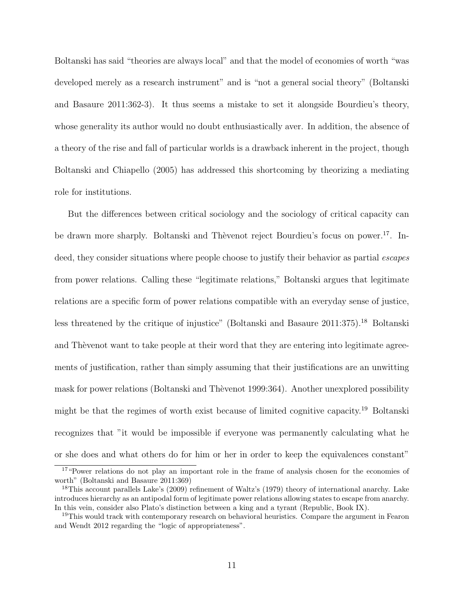Boltanski has said "theories are always local" and that the model of economies of worth "was developed merely as a research instrument" and is "not a general social theory" (Boltanski and Basaure 2011:362-3). It thus seems a mistake to set it alongside Bourdieu's theory, whose generality its author would no doubt enthusiastically aver. In addition, the absence of a theory of the rise and fall of particular worlds is a drawback inherent in the project, though Boltanski and Chiapello (2005) has addressed this shortcoming by theorizing a mediating role for institutions.

But the differences between critical sociology and the sociology of critical capacity can be drawn more sharply. Boltanski and Thèvenot reject Bourdieu's focus on power.<sup>17</sup>. Indeed, they consider situations where people choose to justify their behavior as partial *escapes* from power relations. Calling these "legitimate relations," Boltanski argues that legitimate relations are a specific form of power relations compatible with an everyday sense of justice, less threatened by the critique of injustice" (Boltanski and Basaure 2011:375).<sup>18</sup> Boltanski and The venot want to take people at their word that they are entering into legitimate agreements of justification, rather than simply assuming that their justifications are an unwitting mask for power relations (Boltanski and Thèvenot 1999:364). Another unexplored possibility might be that the regimes of worth exist because of limited cognitive capacity.<sup>19</sup> Boltanski recognizes that "it would be impossible if everyone was permanently calculating what he or she does and what others do for him or her in order to keep the equivalences constant"

<sup>&</sup>lt;sup>17</sup> "Power relations do not play an important role in the frame of analysis chosen for the economies of worth" (Boltanski and Basaure 2011:369)

<sup>&</sup>lt;sup>18</sup>This account parallels Lake's (2009) refinement of Waltz's (1979) theory of international anarchy. Lake introduces hierarchy as an antipodal form of legitimate power relations allowing states to escape from anarchy. In this vein, consider also Plato's distinction between a king and a tyrant (Republic, Book IX).

<sup>&</sup>lt;sup>19</sup>This would track with contemporary research on behavioral heuristics. Compare the argument in Fearon and Wendt 2012 regarding the "logic of appropriateness".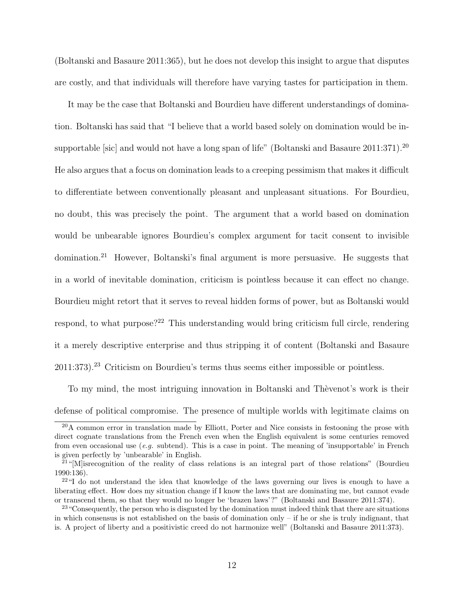(Boltanski and Basaure 2011:365), but he does not develop this insight to argue that disputes are costly, and that individuals will therefore have varying tastes for participation in them.

It may be the case that Boltanski and Bourdieu have different understandings of domination. Boltanski has said that "I believe that a world based solely on domination would be insupportable [sic] and would not have a long span of life" (Boltanski and Basaure 2011:371).<sup>20</sup> He also argues that a focus on domination leads to a creeping pessimism that makes it difficult to differentiate between conventionally pleasant and unpleasant situations. For Bourdieu, no doubt, this was precisely the point. The argument that a world based on domination would be unbearable ignores Bourdieu's complex argument for tacit consent to invisible domination.<sup>21</sup> However, Boltanski's final argument is more persuasive. He suggests that in a world of inevitable domination, criticism is pointless because it can effect no change. Bourdieu might retort that it serves to reveal hidden forms of power, but as Boltanski would respond, to what purpose?<sup>22</sup> This understanding would bring criticism full circle, rendering it a merely descriptive enterprise and thus stripping it of content (Boltanski and Basaure  $2011:373$ .<sup>23</sup> Criticism on Bourdieu's terms thus seems either impossible or pointless.

To my mind, the most intriguing innovation in Boltanski and Thèvenot's work is their defense of political compromise. The presence of multiple worlds with legitimate claims on

<sup>&</sup>lt;sup>20</sup>A common error in translation made by Elliott, Porter and Nice consists in festooning the prose with direct cognate translations from the French even when the English equivalent is some centuries removed from even occasional use  $(e.g.$  subtend). This is a case in point. The meaning of 'insupportable' in French is given perfectly by 'unbearable' in English.

<sup>&</sup>lt;sup>21</sup>"[M] is recognition of the reality of class relations is an integral part of those relations" (Bourdieu 1990:136).

 $22^{24}$  do not understand the idea that knowledge of the laws governing our lives is enough to have a liberating effect. How does my situation change if I know the laws that are dominating me, but cannot evade or transcend them, so that they would no longer be 'brazen laws'?" (Boltanski and Basaure 2011:374).

<sup>&</sup>lt;sup>23</sup> "Consequently, the person who is disgusted by the domination must indeed think that there are situations in which consensus is not established on the basis of domination only – if he or she is truly indignant, that is. A project of liberty and a positivistic creed do not harmonize well" (Boltanski and Basaure 2011:373).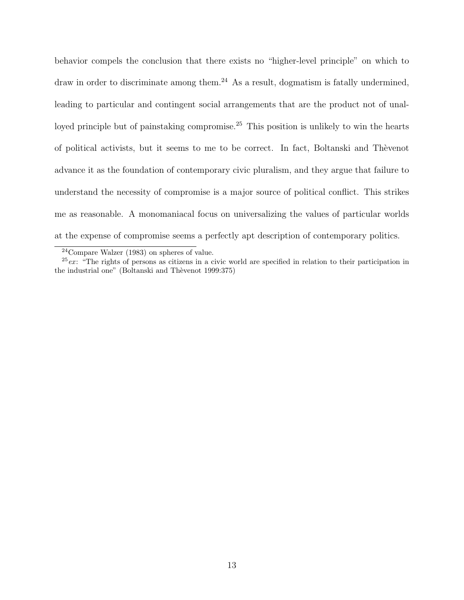behavior compels the conclusion that there exists no "higher-level principle" on which to draw in order to discriminate among them.<sup>24</sup> As a result, dogmatism is fatally undermined, leading to particular and contingent social arrangements that are the product not of unalloyed principle but of painstaking compromise.<sup>25</sup> This position is unlikely to win the hearts of political activists, but it seems to me to be correct. In fact, Boltanski and Th`evenot advance it as the foundation of contemporary civic pluralism, and they argue that failure to understand the necessity of compromise is a major source of political conflict. This strikes me as reasonable. A monomaniacal focus on universalizing the values of particular worlds at the expense of compromise seems a perfectly apt description of contemporary politics.

<sup>24</sup>Compare Walzer (1983) on spheres of value.

 $25$ ex: "The rights of persons as citizens in a civic world are specified in relation to their participation in the industrial one" (Boltanski and Thèvenot 1999:375)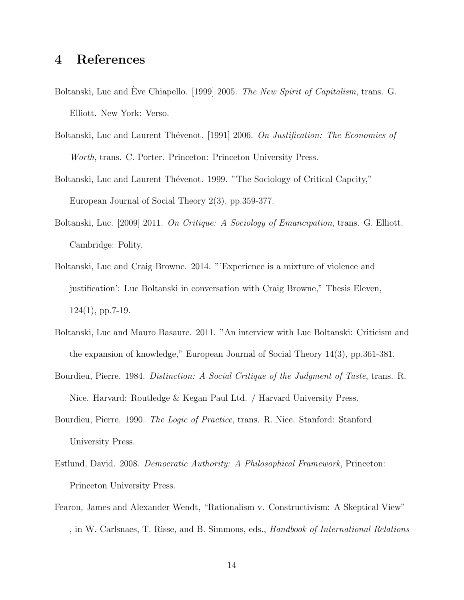#### 4 References

- Boltanski, Luc and Eve Chiapello. [1999] 2005. The New Spirit of Capitalism, trans. G. Elliott. New York: Verso.
- Boltanski, Luc and Laurent Thévenot. [1991] 2006. On Justification: The Economies of Worth, trans. C. Porter. Princeton: Princeton University Press.
- Boltanski, Luc and Laurent Thévenot. 1999. "The Sociology of Critical Capcity," European Journal of Social Theory 2(3), pp.359-377.
- Boltanski, Luc. [2009] 2011. On Critique: A Sociology of Emancipation, trans. G. Elliott. Cambridge: Polity.
- Boltanski, Luc and Craig Browne. 2014. "'Experience is a mixture of violence and justification': Luc Boltanski in conversation with Craig Browne," Thesis Eleven,  $124(1)$ , pp.7-19.
- Boltanski, Luc and Mauro Basaure. 2011. "An interview with Luc Boltanski: Criticism and the expansion of knowledge," European Journal of Social Theory 14(3), pp.361-381.
- Bourdieu, Pierre. 1984. Distinction: A Social Critique of the Judgment of Taste, trans. R. Nice. Harvard: Routledge & Kegan Paul Ltd. / Harvard University Press.
- Bourdieu, Pierre. 1990. *The Logic of Practice*, trans. R. Nice. Stanford: Stanford University Press.
- Estlund, David. 2008. Democratic Authority: A Philosophical Framework, Princeton: Princeton University Press.
- Fearon, James and Alexander Wendt, "Rationalism v. Constructivism: A Skeptical View" , in W. Carlsnaes, T. Risse, and B. Simmons, eds., Handbook of International Relations